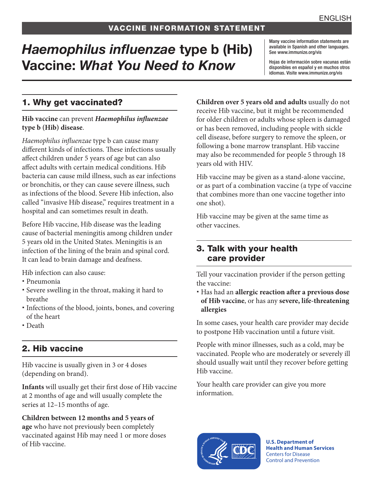# *Haemophilus influenzae* type b (Hib) Vaccine: *What You Need to Know*

Many vaccine information statements are available in Spanish and other languages. See [www.immunize.org/vis](http://www.immunize.org/vis)

Hojas de información sobre vacunas están disponibles en español y en muchos otros idiomas. Visite [www.immunize.org/vis](http://www.immunize.org/vis)

### 1. Why get vaccinated?

#### **Hib vaccine** can prevent *Haemophilus influenzae*  **type b (Hib) disease**.

*Haemophilus influenzae* type b can cause many different kinds of infections. These infections usually affect children under 5 years of age but can also affect adults with certain medical conditions. Hib bacteria can cause mild illness, such as ear infections or bronchitis, or they can cause severe illness, such as infections of the blood. Severe Hib infection, also called "invasive Hib disease," requires treatment in a hospital and can sometimes result in death.

Before Hib vaccine, Hib disease was the leading cause of bacterial meningitis among children under 5 years old in the United States. Meningitis is an infection of the lining of the brain and spinal cord. It can lead to brain damage and deafness.

Hib infection can also cause:

- Pneumonia
- Severe swelling in the throat, making it hard to breathe
- Infections of the blood, joints, bones, and covering of the heart
- Death

### 2. Hib vaccine

Hib vaccine is usually given in 3 or 4 doses (depending on brand).

**Infants** will usually get their first dose of Hib vaccine at 2 months of age and will usually complete the series at 12–15 months of age.

**Children between 12 months and 5 years of age** who have not previously been completely vaccinated against Hib may need 1 or more doses of Hib vaccine.

**Children over 5 years old and adults** usually do not receive Hib vaccine, but it might be recommended for older children or adults whose spleen is damaged or has been removed, including people with sickle cell disease, before surgery to remove the spleen, or following a bone marrow transplant. Hib vaccine may also be recommended for people 5 through 18 years old with HIV.

Hib vaccine may be given as a stand-alone vaccine, or as part of a combination vaccine (a type of vaccine that combines more than one vaccine together into one shot).

Hib vaccine may be given at the same time as other vaccines.

### 3. Talk with your health care provider

Tell your vaccination provider if the person getting the vaccine:

 Has had an **allergic reaction after a previous dose of Hib vaccine**, or has any **severe, life-threatening allergies**

In some cases, your health care provider may decide to postpone Hib vaccination until a future visit.

People with minor illnesses, such as a cold, may be vaccinated. People who are moderately or severely ill should usually wait until they recover before getting Hib vaccine.

Your health care provider can give you more information.



**U.S. Department of Health and Human Services**  Centers for Disease Control and Prevention